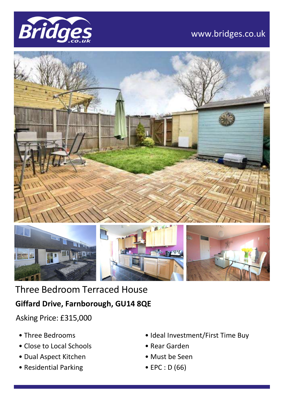

## www.bridges.co.uk





Three Bedroom Terraced House **Giffard Drive, Farnborough, GU14 8QE**

Asking Price: £315,000

- Three Bedrooms
- Close to Local Schools
- Dual Aspect Kitchen
- Residential Parking
- Ideal Investment/First Time Buy
- Rear Garden
- Must be Seen
- EPC : D (66)